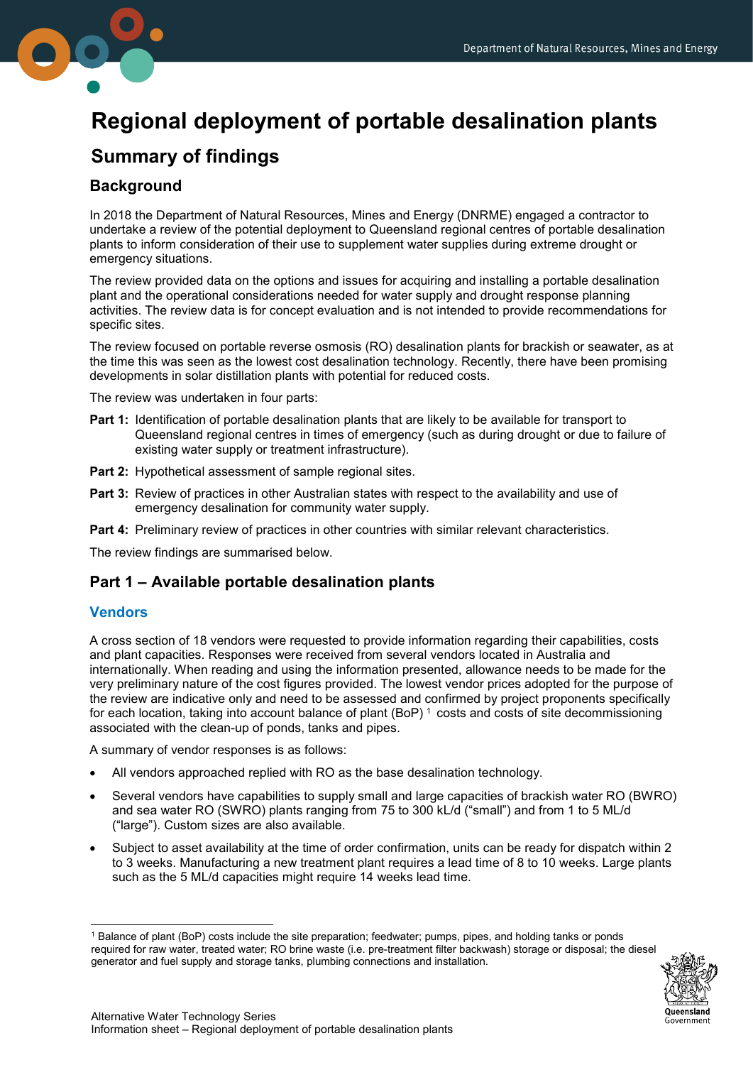

# **Regional deployment of portable desalination plants**

# **Summary of findings**

# **Background**

In 2018 the Department of Natural Resources, Mines and Energy (DNRME) engaged a contractor to undertake a review of the potential deployment to Queensland regional centres of portable desalination plants to inform consideration of their use to supplement water supplies during extreme drought or emergency situations.

The review provided data on the options and issues for acquiring and installing a portable desalination plant and the operational considerations needed for water supply and drought response planning activities. The review data is for concept evaluation and is not intended to provide recommendations for specific sites.

The review focused on portable reverse osmosis (RO) desalination plants for brackish or seawater, as at the time this was seen as the lowest cost desalination technology. Recently, there have been promising developments in solar distillation plants with potential for reduced costs.

The review was undertaken in four parts:

- **Part 1:** Identification of portable desalination plants that are likely to be available for transport to Queensland regional centres in times of emergency (such as during drought or due to failure of existing water supply or treatment infrastructure).
- **Part 2:** Hypothetical assessment of sample regional sites.
- **Part 3:** Review of practices in other Australian states with respect to the availability and use of emergency desalination for community water supply.
- **Part 4:** Preliminary review of practices in other countries with similar relevant characteristics.

The review findings are summarised below.

# **Part 1 – Available portable desalination plants**

#### **Vendors**

A cross section of 18 vendors were requested to provide information regarding their capabilities, costs and plant capacities. Responses were received from several vendors located in Australia and internationally. When reading and using the information presented, allowance needs to be made for the very preliminary nature of the cost figures provided. The lowest vendor prices adopted for the purpose of the review are indicative only and need to be assessed and confirmed by project proponents specifically for each location, taking into account balance of plant (BoP)<sup>[1](#page-0-0)</sup> costs and costs of site decommissioning associated with the clean-up of ponds, tanks and pipes.

A summary of vendor responses is as follows:

- All vendors approached replied with RO as the base desalination technology.
- Several vendors have capabilities to supply small and large capacities of brackish water RO (BWRO) and sea water RO (SWRO) plants ranging from 75 to 300 kL/d ("small") and from 1 to 5 ML/d ("large"). Custom sizes are also available.
- Subject to asset availability at the time of order confirmation, units can be ready for dispatch within 2 to 3 weeks. Manufacturing a new treatment plant requires a lead time of 8 to 10 weeks. Large plants such as the 5 ML/d capacities might require 14 weeks lead time.

<span id="page-0-0"></span><sup>-</sup>1 Balance of plant (BoP) costs include the site preparation; feedwater; pumps, pipes, and holding tanks or ponds required for raw water, treated water; RO brine waste (i.e. pre-treatment filter backwash) storage or disposal; the diesel generator and fuel supply and storage tanks, plumbing connections and installation.

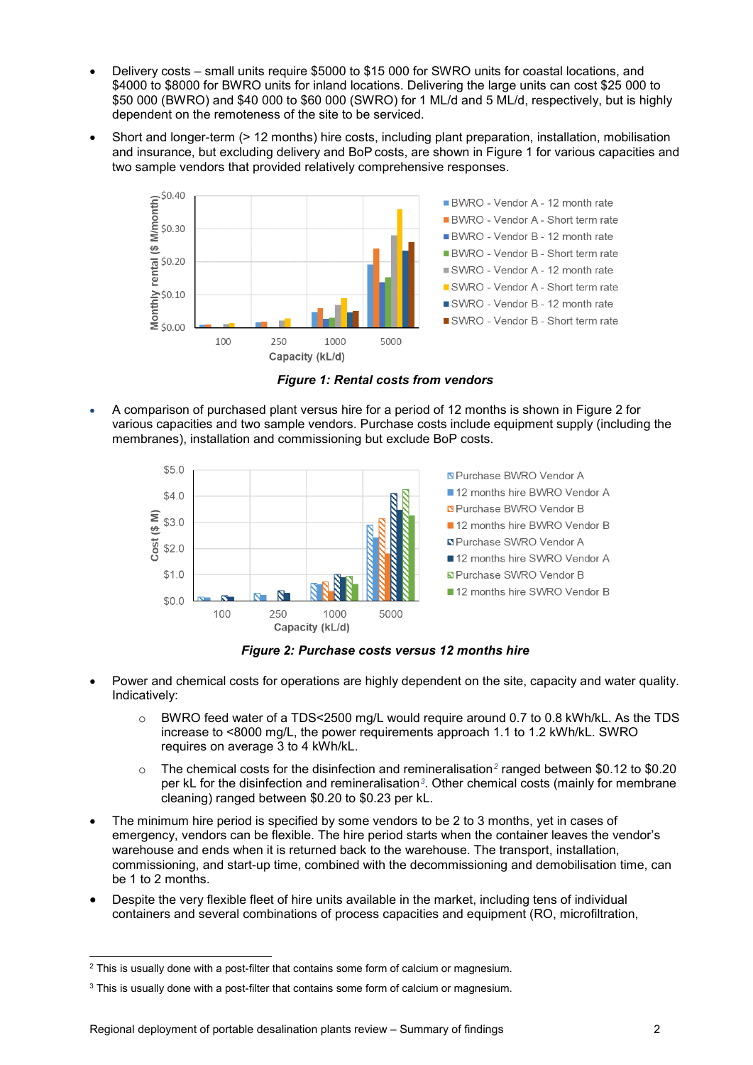- Delivery costs small units require \$5000 to \$15 000 for SWRO units for coastal locations, and \$4000 to \$8000 for BWRO units for inland locations. Delivering the large units can cost \$25 000 to \$50 000 (BWRO) and \$40 000 to \$60 000 (SWRO) for 1 ML/d and 5 ML/d, respectively, but is highly dependent on the remoteness of the site to be serviced.
- Short and longer-term (> 12 months) hire costs, including plant preparation, installation, mobilisation and insurance, but excluding delivery and BoP costs, are shown in Figure 1 for various capacities and two sample vendors that provided relatively comprehensive responses.



*Figure 1: Rental costs from vendors*

• A comparison of purchased plant versus hire for a period of 12 months is shown in Figure 2 for various capacities and two sample vendors. Purchase costs include equipment supply (including the membranes), installation and commissioning but exclude BoP costs.



*Figure 2: Purchase costs versus 12 months hire*

- Power and chemical costs for operations are highly dependent on the site, capacity and water quality. Indicatively:
	- o BWRO feed water of a TDS<2500 mg/L would require around 0.7 to 0.8 kWh/kL. As the TDS increase to <8000 mg/L, the power requirements approach 1.1 to 1.2 kWh/kL. SWRO requires on average 3 to 4 kWh/kL.
	- o The chemical costs for the disinfection and remineralisation*[2](#page-1-0)* ranged between \$0.12 to \$0.20 per kL for the disinfection and remineralisation*[3](#page-1-1)*. Other chemical costs (mainly for membrane cleaning) ranged between \$0.20 to \$0.23 per kL.
- The minimum hire period is specified by some vendors to be 2 to 3 months, yet in cases of emergency, vendors can be flexible. The hire period starts when the container leaves the vendor's warehouse and ends when it is returned back to the warehouse. The transport, installation, commissioning, and start-up time, combined with the decommissioning and demobilisation time, can be 1 to 2 months.
- Despite the very flexible fleet of hire units available in the market, including tens of individual containers and several combinations of process capacities and equipment (RO, microfiltration,

<span id="page-1-0"></span> $2$  This is usually done with a post-filter that contains some form of calcium or magnesium.

<span id="page-1-1"></span><sup>&</sup>lt;sup>3</sup> This is usually done with a post-filter that contains some form of calcium or magnesium.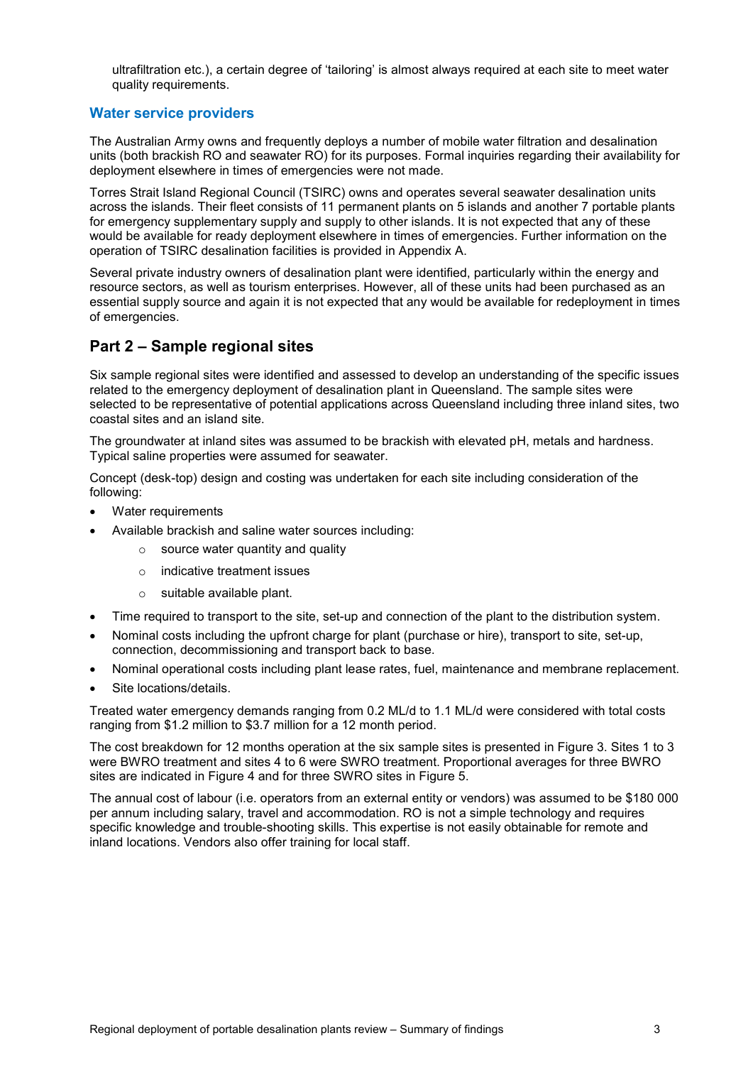ultrafiltration etc.), a certain degree of 'tailoring' is almost always required at each site to meet water quality requirements.

### **Water service providers**

The Australian Army owns and frequently deploys a number of mobile water filtration and desalination units (both brackish RO and seawater RO) for its purposes. Formal inquiries regarding their availability for deployment elsewhere in times of emergencies were not made.

Torres Strait Island Regional Council (TSIRC) owns and operates several seawater desalination units across the islands. Their fleet consists of 11 permanent plants on 5 islands and another 7 portable plants for emergency supplementary supply and supply to other islands. It is not expected that any of these would be available for ready deployment elsewhere in times of emergencies. Further information on the operation of TSIRC desalination facilities is provided in Appendix A.

Several private industry owners of desalination plant were identified, particularly within the energy and resource sectors, as well as tourism enterprises. However, all of these units had been purchased as an essential supply source and again it is not expected that any would be available for redeployment in times of emergencies.

# **Part 2 – Sample regional sites**

Six sample regional sites were identified and assessed to develop an understanding of the specific issues related to the emergency deployment of desalination plant in Queensland. The sample sites were selected to be representative of potential applications across Queensland including three inland sites, two coastal sites and an island site.

The groundwater at inland sites was assumed to be brackish with elevated pH, metals and hardness. Typical saline properties were assumed for seawater.

Concept (desk-top) design and costing was undertaken for each site including consideration of the following:

- Water requirements
- Available brackish and saline water sources including:
	- source water quantity and quality
	- o indicative treatment issues
	- o suitable available plant.
- Time required to transport to the site, set-up and connection of the plant to the distribution system.
- Nominal costs including the upfront charge for plant (purchase or hire), transport to site, set-up, connection, decommissioning and transport back to base.
- Nominal operational costs including plant lease rates, fuel, maintenance and membrane replacement.
- Site locations/details.

Treated water emergency demands ranging from 0.2 ML/d to 1.1 ML/d were considered with total costs ranging from \$1.2 million to \$3.7 million for a 12 month period.

The cost breakdown for 12 months operation at the six sample sites is presented in Figure 3. Sites 1 to 3 were BWRO treatment and sites 4 to 6 were SWRO treatment. Proportional averages for three BWRO sites are indicated in Figure 4 and for three SWRO sites in Figure 5.

The annual cost of labour (i.e. operators from an external entity or vendors) was assumed to be \$180 000 per annum including salary, travel and accommodation. RO is not a simple technology and requires specific knowledge and trouble-shooting skills. This expertise is not easily obtainable for remote and inland locations. Vendors also offer training for local staff.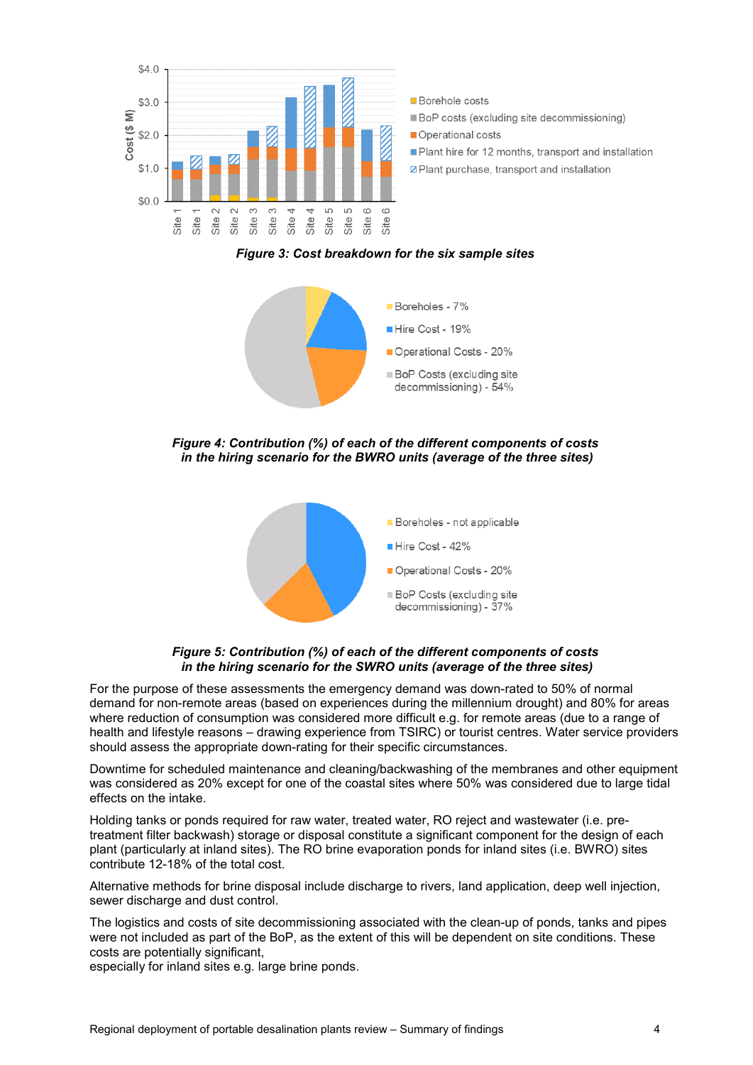

*Figure 3: Cost breakdown for the six sample sites*



*Figure 4: Contribution (%) of each of the different components of costs in the hiring scenario for the BWRO units (average of the three sites)*





For the purpose of these assessments the emergency demand was down-rated to 50% of normal demand for non-remote areas (based on experiences during the millennium drought) and 80% for areas where reduction of consumption was considered more difficult e.g. for remote areas (due to a range of health and lifestyle reasons – drawing experience from TSIRC) or tourist centres. Water service providers should assess the appropriate down-rating for their specific circumstances.

Downtime for scheduled maintenance and cleaning/backwashing of the membranes and other equipment was considered as 20% except for one of the coastal sites where 50% was considered due to large tidal effects on the intake.

Holding tanks or ponds required for raw water, treated water, RO reject and wastewater (i.e. pretreatment filter backwash) storage or disposal constitute a significant component for the design of each plant (particularly at inland sites). The RO brine evaporation ponds for inland sites (i.e. BWRO) sites contribute 12-18% of the total cost.

Alternative methods for brine disposal include discharge to rivers, land application, deep well injection, sewer discharge and dust control.

The logistics and costs of site decommissioning associated with the clean-up of ponds, tanks and pipes were not included as part of the BoP, as the extent of this will be dependent on site conditions. These costs are potentially significant,

especially for inland sites e.g. large brine ponds.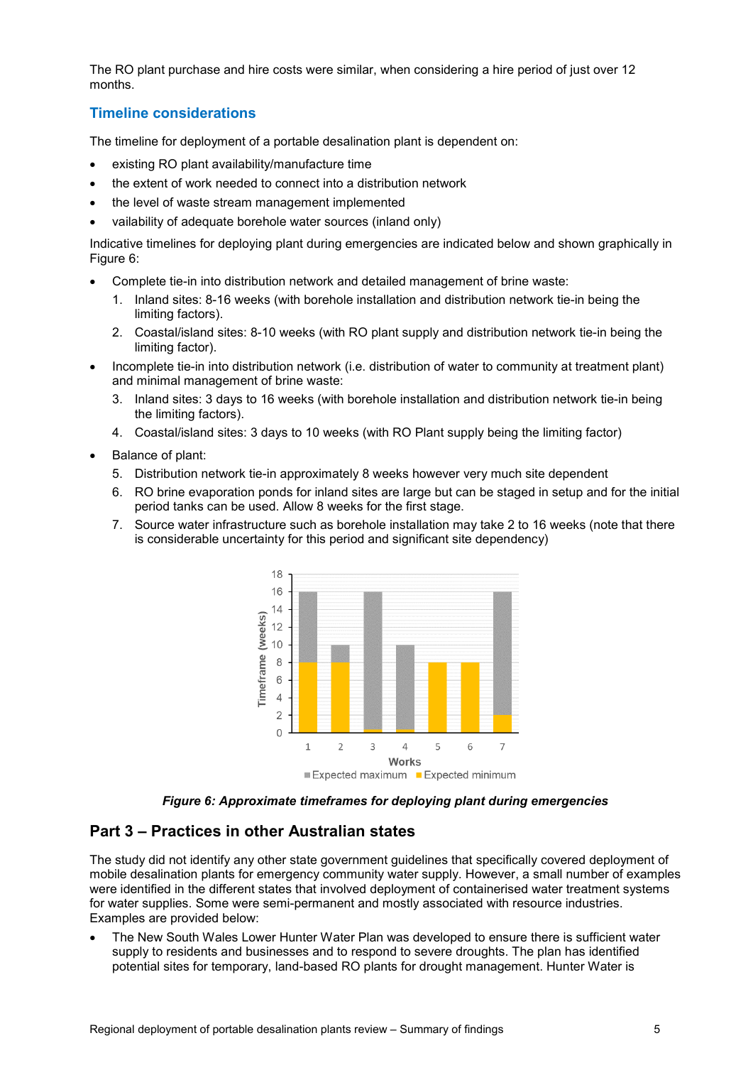The RO plant purchase and hire costs were similar, when considering a hire period of just over 12 months.

### **Timeline considerations**

The timeline for deployment of a portable desalination plant is dependent on:

- existing RO plant availability/manufacture time
- the extent of work needed to connect into a distribution network
- the level of waste stream management implemented
- vailability of adequate borehole water sources (inland only)

Indicative timelines for deploying plant during emergencies are indicated below and shown graphically in Figure 6:

- Complete tie-in into distribution network and detailed management of brine waste:
	- 1. Inland sites: 8-16 weeks (with borehole installation and distribution network tie-in being the limiting factors).
	- 2. Coastal/island sites: 8-10 weeks (with RO plant supply and distribution network tie-in being the limiting factor).
- Incomplete tie-in into distribution network (i.e. distribution of water to community at treatment plant) and minimal management of brine waste:
	- 3. Inland sites: 3 days to 16 weeks (with borehole installation and distribution network tie-in being the limiting factors).
	- 4. Coastal/island sites: 3 days to 10 weeks (with RO Plant supply being the limiting factor)
- Balance of plant:
	- 5. Distribution network tie-in approximately 8 weeks however very much site dependent
	- 6. RO brine evaporation ponds for inland sites are large but can be staged in setup and for the initial period tanks can be used. Allow 8 weeks for the first stage.
	- 7. Source water infrastructure such as borehole installation may take 2 to 16 weeks (note that there is considerable uncertainty for this period and significant site dependency)



*Figure 6: Approximate timeframes for deploying plant during emergencies*

## **Part 3 – Practices in other Australian states**

The study did not identify any other state government guidelines that specifically covered deployment of mobile desalination plants for emergency community water supply. However, a small number of examples were identified in the different states that involved deployment of containerised water treatment systems for water supplies. Some were semi-permanent and mostly associated with resource industries. Examples are provided below:

• The New South Wales Lower Hunter Water Plan was developed to ensure there is sufficient water supply to residents and businesses and to respond to severe droughts. The plan has identified potential sites for temporary, land-based RO plants for drought management. Hunter Water is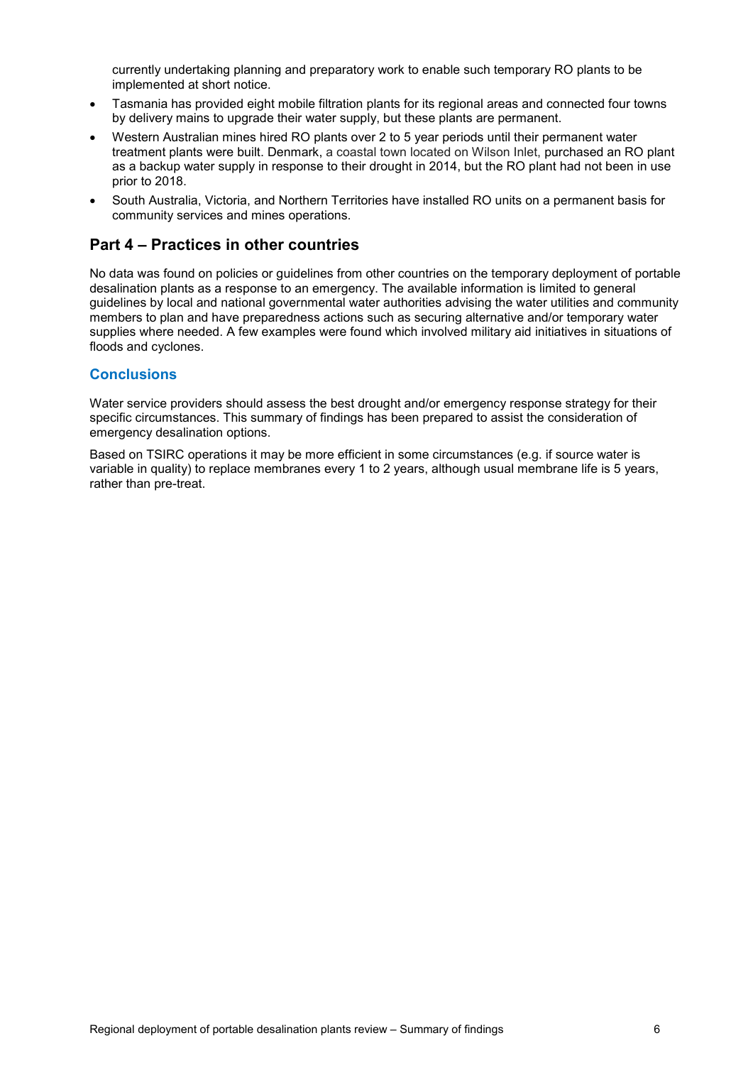currently undertaking planning and preparatory work to enable such temporary RO plants to be implemented at short notice.

- Tasmania has provided eight mobile filtration plants for its regional areas and connected four towns by delivery mains to upgrade their water supply, but these plants are permanent.
- Western Australian mines hired RO plants over 2 to 5 year periods until their permanent water treatment plants were built. Denmark, a coastal town located on Wilson Inlet, purchased an RO plant as a backup water supply in response to their drought in 2014, but the RO plant had not been in use prior to 2018.
- South Australia, Victoria, and Northern Territories have installed RO units on a permanent basis for community services and mines operations.

# **Part 4 – Practices in other countries**

No data was found on policies or guidelines from other countries on the temporary deployment of portable desalination plants as a response to an emergency. The available information is limited to general guidelines by local and national governmental water authorities advising the water utilities and community members to plan and have preparedness actions such as securing alternative and/or temporary water supplies where needed. A few examples were found which involved military aid initiatives in situations of floods and cyclones.

### **Conclusions**

Water service providers should assess the best drought and/or emergency response strategy for their specific circumstances. This summary of findings has been prepared to assist the consideration of emergency desalination options.

Based on TSIRC operations it may be more efficient in some circumstances (e.g. if source water is variable in quality) to replace membranes every 1 to 2 years, although usual membrane life is 5 years, rather than pre-treat.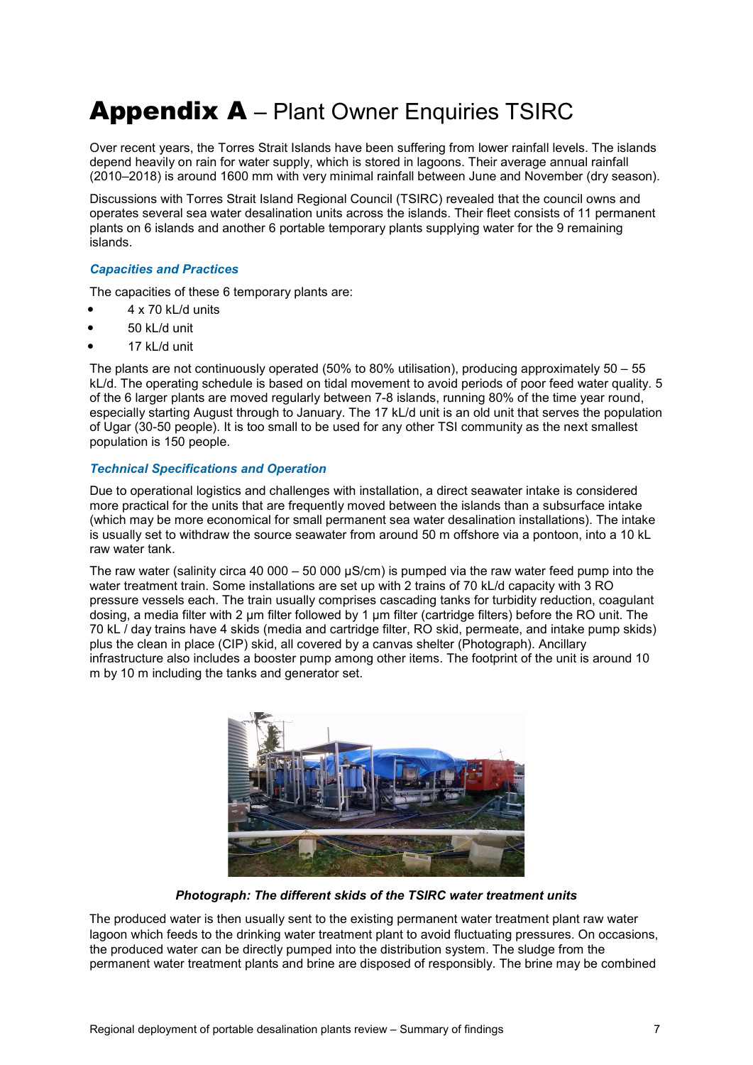# Appendix A - Plant Owner Enquiries TSIRC

Over recent years, the Torres Strait Islands have been suffering from lower rainfall levels. The islands depend heavily on rain for water supply, which is stored in lagoons. Their average annual rainfall (2010–2018) is around 1600 mm with very minimal rainfall between June and November (dry season).

Discussions with Torres Strait Island Regional Council (TSIRC) revealed that the council owns and operates several sea water desalination units across the islands. Their fleet consists of 11 permanent plants on 6 islands and another 6 portable temporary plants supplying water for the 9 remaining islands.

#### *Capacities and Practices*

The capacities of these 6 temporary plants are:

- 4 x 70 kL/d units
- 50 kL/d unit
- 17 kL/d unit

The plants are not continuously operated (50% to 80% utilisation), producing approximately 50 – 55 kL/d. The operating schedule is based on tidal movement to avoid periods of poor feed water quality. 5 of the 6 larger plants are moved regularly between 7-8 islands, running 80% of the time year round, especially starting August through to January. The 17 kL/d unit is an old unit that serves the population of Ugar (30-50 people). It is too small to be used for any other TSI community as the next smallest population is 150 people.

#### *Technical Specifications and Operation*

Due to operational logistics and challenges with installation, a direct seawater intake is considered more practical for the units that are frequently moved between the islands than a subsurface intake (which may be more economical for small permanent sea water desalination installations). The intake is usually set to withdraw the source seawater from around 50 m offshore via a pontoon, into a 10 kL raw water tank.

The raw water (salinity circa 40 000 – 50 000  $\mu$ S/cm) is pumped via the raw water feed pump into the water treatment train. Some installations are set up with 2 trains of 70 kL/d capacity with 3 RO pressure vessels each. The train usually comprises cascading tanks for turbidity reduction, coagulant dosing, a media filter with 2 µm filter followed by 1 µm filter (cartridge filters) before the RO unit. The 70 kL / day trains have 4 skids (media and cartridge filter, RO skid, permeate, and intake pump skids) plus the clean in place (CIP) skid, all covered by a canvas shelter (Photograph). Ancillary infrastructure also includes a booster pump among other items. The footprint of the unit is around 10 m by 10 m including the tanks and generator set.



*Photograph: The different skids of the TSIRC water treatment units*

The produced water is then usually sent to the existing permanent water treatment plant raw water lagoon which feeds to the drinking water treatment plant to avoid fluctuating pressures. On occasions, the produced water can be directly pumped into the distribution system. The sludge from the permanent water treatment plants and brine are disposed of responsibly. The brine may be combined